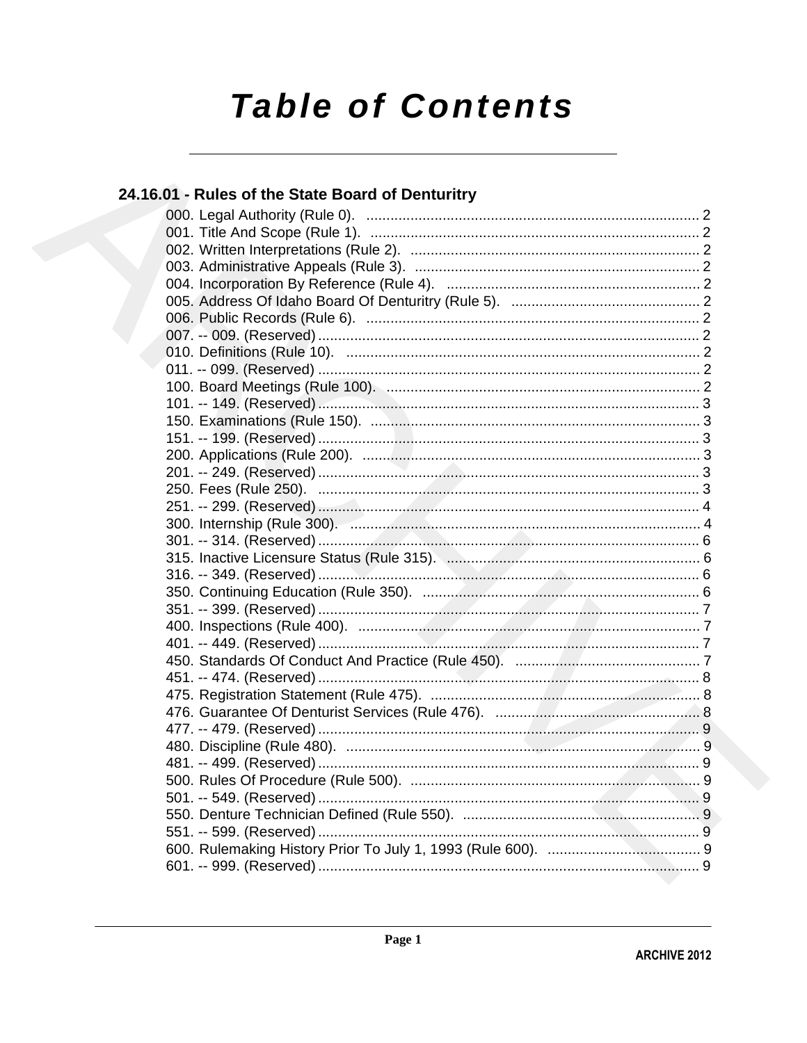# **Table of Contents**

#### 24.16.01 - Rules of the State Board of Denturitry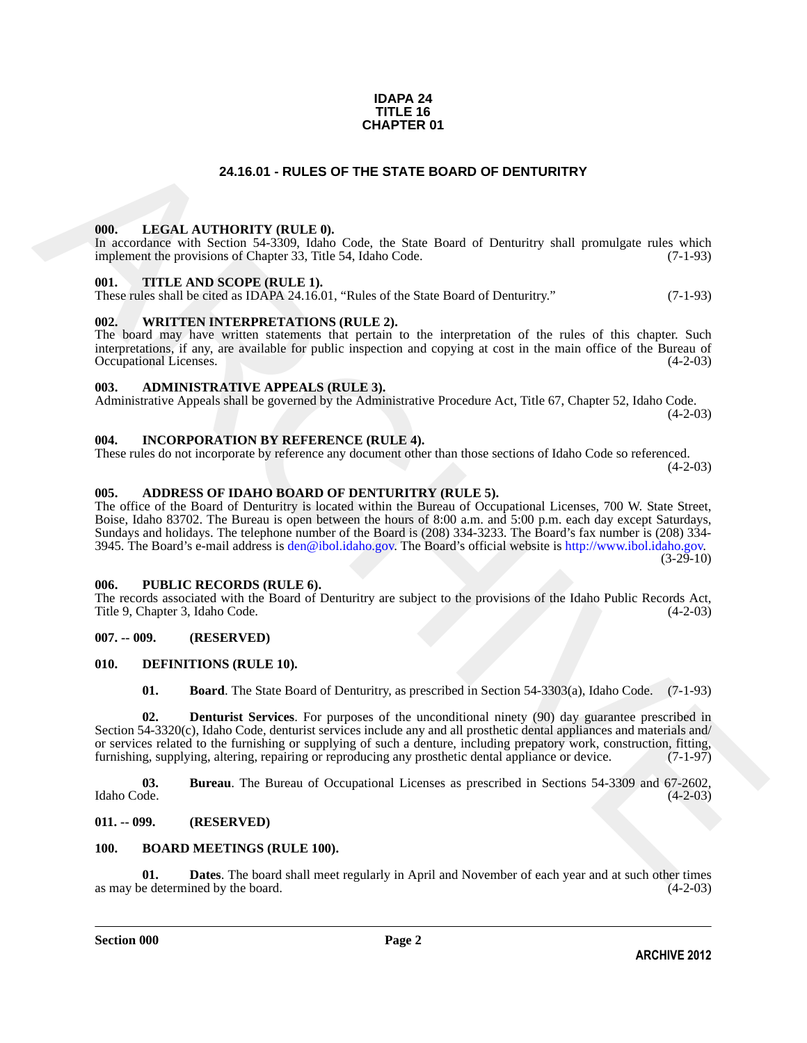#### **IDAPA 24 TITLE 16 CHAPTER 01**

#### **24.16.01 - RULES OF THE STATE BOARD OF DENTURITRY**

#### <span id="page-1-1"></span><span id="page-1-0"></span>**000. LEGAL AUTHORITY (RULE 0).**

In accordance with Section 54-3309, Idaho Code, the State Board of Denturitry shall promulgate rules which implement the provisions of Chapter 33, Title 54, Idaho Code. (7-1-93)

#### <span id="page-1-2"></span>**001. TITLE AND SCOPE (RULE 1).**

These rules shall be cited as IDAPA 24.16.01, "Rules of the State Board of Denturitry." (7-1-93)

#### <span id="page-1-3"></span>**002. WRITTEN INTERPRETATIONS (RULE 2).**

The board may have written statements that pertain to the interpretation of the rules of this chapter. Such interpretations, if any, are available for public inspection and copying at cost in the main office of the Bureau of Occupational Licenses. (4-2-03) Occupational Licenses.

#### <span id="page-1-4"></span>**003. ADMINISTRATIVE APPEALS (RULE 3).**

Administrative Appeals shall be governed by the Administrative Procedure Act, Title 67, Chapter 52, Idaho Code.  $(4-2-03)$ 

#### <span id="page-1-5"></span>**004. INCORPORATION BY REFERENCE (RULE 4).**

These rules do not incorporate by reference any document other than those sections of Idaho Code so referenced.  $(4-2-03)$ 

#### <span id="page-1-6"></span>**005. ADDRESS OF IDAHO BOARD OF DENTURITRY (RULE 5).**

24.16.01 - RULES OF THE STATE BOARD OF DENTURITRY<br>
1001. I.EGAT. AITTHORTY (RTLE.0).<br>
In obtaining with Some Classes in the first state of the state in the state of the state of the state of the state of the state of the The office of the Board of Denturitry is located within the Bureau of Occupational Licenses, 700 W. State Street, Boise, Idaho 83702. The Bureau is open between the hours of 8:00 a.m. and 5:00 p.m. each day except Saturdays, Sundays and holidays. The telephone number of the Board is (208) 334-3233. The Board's fax number is (208) 334- 3945. The Board's e-mail address is den@ibol.idaho.gov. The Board's official website is http://www.ibol.idaho.gov. (3-29-10)

#### <span id="page-1-7"></span>**006. PUBLIC RECORDS (RULE 6).**

The records associated with the Board of Denturitry are subject to the provisions of the Idaho Public Records Act, Title 9, Chapter 3, Idaho Code. (4-2-03)

#### <span id="page-1-8"></span>**007. -- 009. (RESERVED)**

#### <span id="page-1-9"></span>**010. DEFINITIONS (RULE 10).**

<span id="page-1-17"></span><span id="page-1-16"></span><span id="page-1-15"></span><span id="page-1-14"></span>**01. Board**. The State Board of Denturitry, as prescribed in Section 54-3303(a), Idaho Code. (7-1-93)

**02. Denturist Services**. For purposes of the unconditional ninety (90) day guarantee prescribed in Section 54-3320(c), Idaho Code, denturist services include any and all prosthetic dental appliances and materials and/ or services related to the furnishing or supplying of such a denture, including prepatory work, construction, fitting, furnishing, supplying, altering, repairing or reproducing any prosthetic dental appliance or device. (7 furnishing, supplying, altering, repairing or reproducing any prosthetic dental appliance or device.

**03.** Bureau. The Bureau of Occupational Licenses as prescribed in Sections 54-3309 and 67-2602, Idaho Code. (4-2-03) Idaho Code. (4-2-03)

#### <span id="page-1-10"></span>**011. -- 099. (RESERVED)**

#### <span id="page-1-13"></span><span id="page-1-12"></span><span id="page-1-11"></span>**100. BOARD MEETINGS (RULE 100).**

**01. Dates**. The board shall meet regularly in April and November of each year and at such other times e determined by the board. (4-2-03) as may be determined by the board.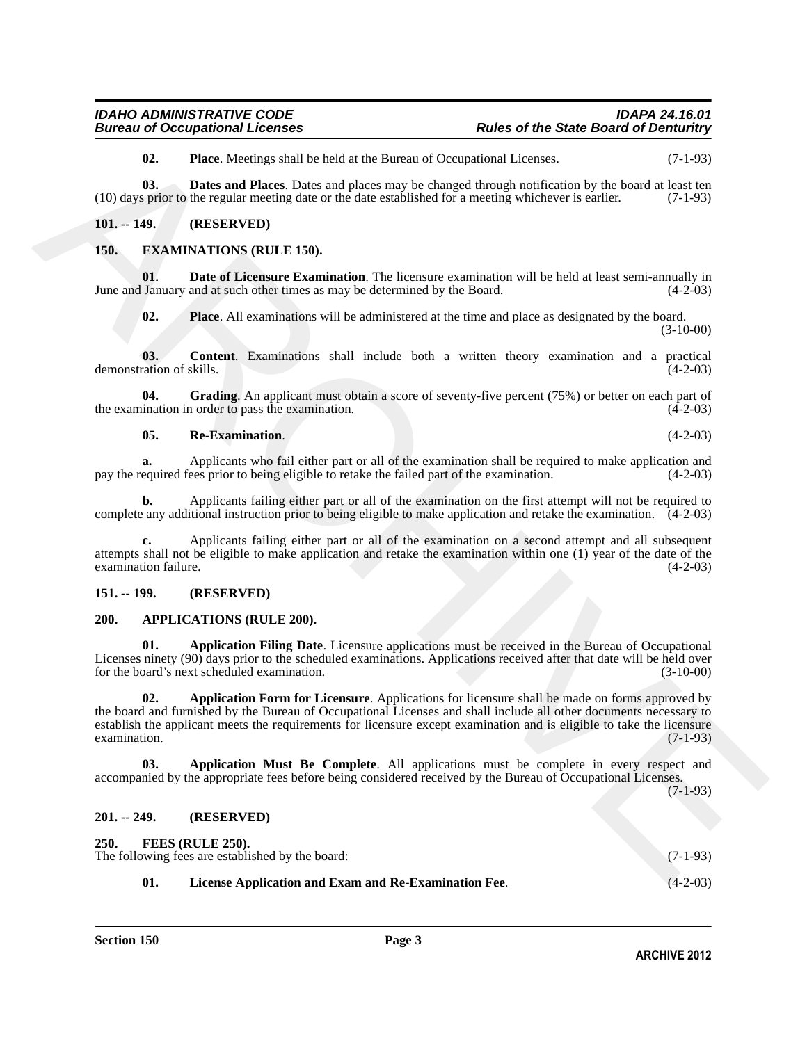<span id="page-2-11"></span><span id="page-2-10"></span>**02. Place**. Meetings shall be held at the Bureau of Occupational Licenses. (7-1-93)

**03. Dates and Places**. Dates and places may be changed through notification by the board at least ten (10) days prior to the regular meeting date or the date established for a meeting whichever is earlier. (7-1-93)

#### <span id="page-2-0"></span>**101. -- 149. (RESERVED)**

#### <span id="page-2-12"></span><span id="page-2-1"></span>**150. EXAMINATIONS (RULE 150).**

**01. Date of Licensure Examination**. The licensure examination will be held at least semi-annually in June and January and at such other times as may be determined by the Board. (4-2-03)

<span id="page-2-16"></span><span id="page-2-14"></span><span id="page-2-13"></span>**02. Place**. All examinations will be administered at the time and place as designated by the board. (3-10-00)

**03. Content**. Examinations shall include both a written theory examination and a practical ration of skills. (4-2-03) demonstration of skills.

**04.** Grading. An applicant must obtain a score of seventy-five percent (75%) or better on each part of ination in order to pass the examination. (4-2-03) the examination in order to pass the examination.

#### <span id="page-2-17"></span><span id="page-2-15"></span>**05. Re-Examination**. (4-2-03)

**a.** Applicants who fail either part or all of the examination shall be required to make application and pay the required fees prior to being eligible to retake the failed part of the examination. (4-2-03)

**b.** Applicants failing either part or all of the examination on the first attempt will not be required to complete any additional instruction prior to being eligible to make application and retake the examination. (4-2-03)

**c.** Applicants failing either part or all of the examination on a second attempt and all subsequent attempts shall not be eligible to make application and retake the examination within one (1) year of the date of the examination failure.

#### <span id="page-2-2"></span>**151. -- 199. (RESERVED)**

#### <span id="page-2-6"></span><span id="page-2-3"></span>**200. APPLICATIONS (RULE 200).**

<span id="page-2-8"></span><span id="page-2-7"></span>**01. Application Filing Date**. Licensure applications must be received in the Bureau of Occupational Licenses ninety (90) days prior to the scheduled examinations. Applications received after that date will be held over<br>(3-10-00) (3-10-00) for the board's next scheduled examination.

**C1.40)**<br> **C1.40**<br> **C1.40)**<br> **C1.40**<br> **C1.40**<br> **C1.40**<br> **C1.40**<br> **C1.40**<br> **C1.40**<br> **C1.40**<br> **C1.40**<br> **C2.40**<br> **C2.40**<br> **C2.40**<br> **C2.40**<br> **C2.40**<br> **C2.40**<br> **C2.40**<br> **C2.40**<br> **C2.40**<br> **C2.40**<br> **C2.40**<br> **C2.40**<br> **C2.40**<br> **C2 02. Application Form for Licensure**. Applications for licensure shall be made on forms approved by the board and furnished by the Bureau of Occupational Licenses and shall include all other documents necessary to establish the applicant meets the requirements for licensure except examination and is eligible to take the licensure examination. (7-1-93) examination.

<span id="page-2-9"></span>**03. Application Must Be Complete**. All applications must be complete in every respect and accompanied by the appropriate fees before being considered received by the Bureau of Occupational Licenses.

(7-1-93)

#### <span id="page-2-4"></span>**201. -- 249. (RESERVED)**

<span id="page-2-19"></span><span id="page-2-18"></span><span id="page-2-5"></span>

| 250. |     | FEES (RULE 250).                                     |            |
|------|-----|------------------------------------------------------|------------|
|      |     | The following fees are established by the board:     | $(7-1-93)$ |
|      | 01. | License Application and Exam and Re-Examination Fee. | $(4-2-03)$ |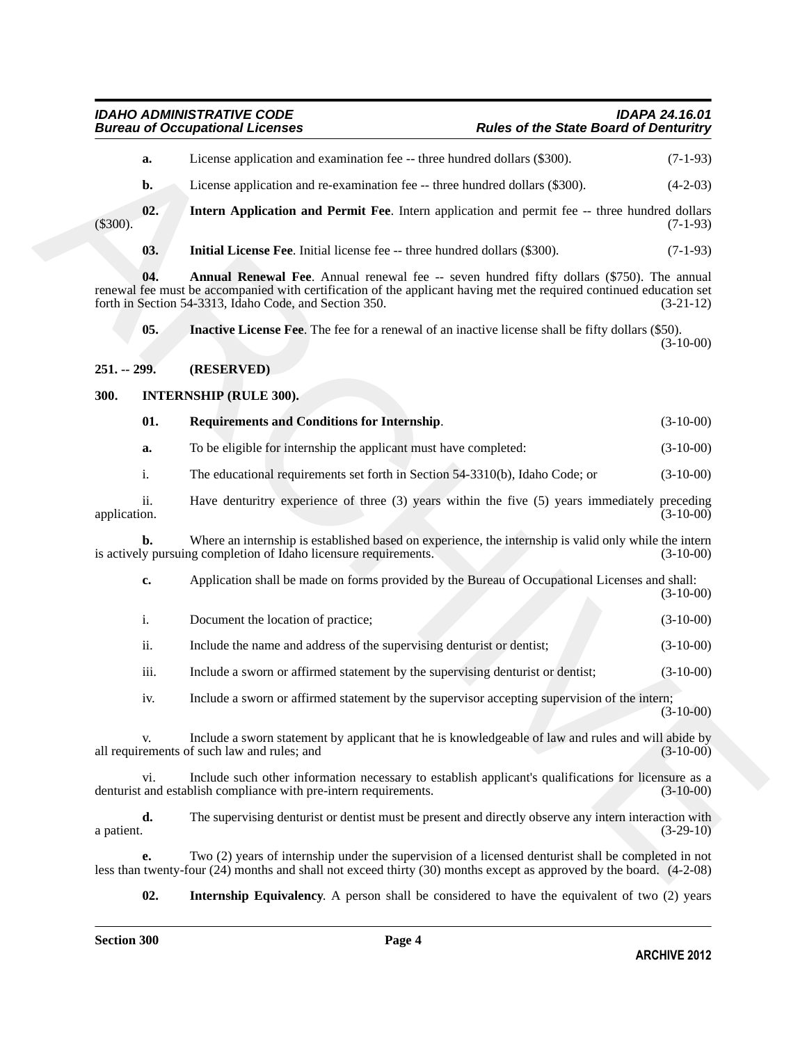<span id="page-3-8"></span><span id="page-3-6"></span><span id="page-3-5"></span><span id="page-3-4"></span><span id="page-3-3"></span><span id="page-3-2"></span><span id="page-3-1"></span><span id="page-3-0"></span>

| License application and examination fee -- three hundred dollars (\$300).<br>License application and re-examination fee -- three hundred dollars (\$300).<br>Intern Application and Permit Fee. Intern application and permit fee -- three hundred dollars<br><b>Initial License Fee.</b> Initial license fee -- three hundred dollars (\$300).<br>Annual Renewal Fee. Annual renewal fee -- seven hundred fifty dollars (\$750). The annual<br>renewal fee must be accompanied with certification of the applicant having met the required continued education set<br>forth in Section 54-3313, Idaho Code, and Section 350.<br><b>Inactive License Fee.</b> The fee for a renewal of an inactive license shall be fifty dollars (\$50).<br>(RESERVED)<br><b>INTERNSHIP (RULE 300).</b><br><b>Requirements and Conditions for Internship.</b><br>To be eligible for internship the applicant must have completed:<br>The educational requirements set forth in Section 54-3310(b), Idaho Code; or<br>Have denturitry experience of three (3) years within the five (5) years immediately preceding | $(7-1-93)$<br>$(4-2-03)$<br>$(7-1-93)$<br>$(7-1-93)$<br>$(3-21-12)$<br>$(3-10-00)$<br>$(3-10-00)$<br>$(3-10-00)$<br>$(3-10-00)$<br>$(3-10-00)$                                                                                   |
|-----------------------------------------------------------------------------------------------------------------------------------------------------------------------------------------------------------------------------------------------------------------------------------------------------------------------------------------------------------------------------------------------------------------------------------------------------------------------------------------------------------------------------------------------------------------------------------------------------------------------------------------------------------------------------------------------------------------------------------------------------------------------------------------------------------------------------------------------------------------------------------------------------------------------------------------------------------------------------------------------------------------------------------------------------------------------------------------------------|----------------------------------------------------------------------------------------------------------------------------------------------------------------------------------------------------------------------------------|
|                                                                                                                                                                                                                                                                                                                                                                                                                                                                                                                                                                                                                                                                                                                                                                                                                                                                                                                                                                                                                                                                                                     |                                                                                                                                                                                                                                  |
|                                                                                                                                                                                                                                                                                                                                                                                                                                                                                                                                                                                                                                                                                                                                                                                                                                                                                                                                                                                                                                                                                                     |                                                                                                                                                                                                                                  |
|                                                                                                                                                                                                                                                                                                                                                                                                                                                                                                                                                                                                                                                                                                                                                                                                                                                                                                                                                                                                                                                                                                     |                                                                                                                                                                                                                                  |
|                                                                                                                                                                                                                                                                                                                                                                                                                                                                                                                                                                                                                                                                                                                                                                                                                                                                                                                                                                                                                                                                                                     |                                                                                                                                                                                                                                  |
|                                                                                                                                                                                                                                                                                                                                                                                                                                                                                                                                                                                                                                                                                                                                                                                                                                                                                                                                                                                                                                                                                                     |                                                                                                                                                                                                                                  |
|                                                                                                                                                                                                                                                                                                                                                                                                                                                                                                                                                                                                                                                                                                                                                                                                                                                                                                                                                                                                                                                                                                     |                                                                                                                                                                                                                                  |
|                                                                                                                                                                                                                                                                                                                                                                                                                                                                                                                                                                                                                                                                                                                                                                                                                                                                                                                                                                                                                                                                                                     |                                                                                                                                                                                                                                  |
|                                                                                                                                                                                                                                                                                                                                                                                                                                                                                                                                                                                                                                                                                                                                                                                                                                                                                                                                                                                                                                                                                                     |                                                                                                                                                                                                                                  |
|                                                                                                                                                                                                                                                                                                                                                                                                                                                                                                                                                                                                                                                                                                                                                                                                                                                                                                                                                                                                                                                                                                     |                                                                                                                                                                                                                                  |
|                                                                                                                                                                                                                                                                                                                                                                                                                                                                                                                                                                                                                                                                                                                                                                                                                                                                                                                                                                                                                                                                                                     |                                                                                                                                                                                                                                  |
|                                                                                                                                                                                                                                                                                                                                                                                                                                                                                                                                                                                                                                                                                                                                                                                                                                                                                                                                                                                                                                                                                                     |                                                                                                                                                                                                                                  |
|                                                                                                                                                                                                                                                                                                                                                                                                                                                                                                                                                                                                                                                                                                                                                                                                                                                                                                                                                                                                                                                                                                     |                                                                                                                                                                                                                                  |
| Where an internship is established based on experience, the internship is valid only while the intern<br>is actively pursuing completion of Idaho licensure requirements.                                                                                                                                                                                                                                                                                                                                                                                                                                                                                                                                                                                                                                                                                                                                                                                                                                                                                                                           | $(3-10-00)$                                                                                                                                                                                                                      |
| Application shall be made on forms provided by the Bureau of Occupational Licenses and shall:                                                                                                                                                                                                                                                                                                                                                                                                                                                                                                                                                                                                                                                                                                                                                                                                                                                                                                                                                                                                       | $(3-10-00)$                                                                                                                                                                                                                      |
| Document the location of practice;                                                                                                                                                                                                                                                                                                                                                                                                                                                                                                                                                                                                                                                                                                                                                                                                                                                                                                                                                                                                                                                                  | $(3-10-00)$                                                                                                                                                                                                                      |
| Include the name and address of the supervising denturist or dentist;                                                                                                                                                                                                                                                                                                                                                                                                                                                                                                                                                                                                                                                                                                                                                                                                                                                                                                                                                                                                                               | $(3-10-00)$                                                                                                                                                                                                                      |
| Include a sworn or affirmed statement by the supervising denturist or dentist;                                                                                                                                                                                                                                                                                                                                                                                                                                                                                                                                                                                                                                                                                                                                                                                                                                                                                                                                                                                                                      | $(3-10-00)$                                                                                                                                                                                                                      |
| Include a sworn or affirmed statement by the supervisor accepting supervision of the intern;                                                                                                                                                                                                                                                                                                                                                                                                                                                                                                                                                                                                                                                                                                                                                                                                                                                                                                                                                                                                        | $(3-10-00)$                                                                                                                                                                                                                      |
| Include a sworn statement by applicant that he is knowledgeable of law and rules and will abide by<br>all requirements of such law and rules; and                                                                                                                                                                                                                                                                                                                                                                                                                                                                                                                                                                                                                                                                                                                                                                                                                                                                                                                                                   | $(3-10-00)$                                                                                                                                                                                                                      |
| Include such other information necessary to establish applicant's qualifications for licensure as a<br>denturist and establish compliance with pre-intern requirements.                                                                                                                                                                                                                                                                                                                                                                                                                                                                                                                                                                                                                                                                                                                                                                                                                                                                                                                             | $(3-10-00)$                                                                                                                                                                                                                      |
| The supervising denturist or dentist must be present and directly observe any intern interaction with                                                                                                                                                                                                                                                                                                                                                                                                                                                                                                                                                                                                                                                                                                                                                                                                                                                                                                                                                                                               | $(3-29-10)$                                                                                                                                                                                                                      |
|                                                                                                                                                                                                                                                                                                                                                                                                                                                                                                                                                                                                                                                                                                                                                                                                                                                                                                                                                                                                                                                                                                     | Two (2) years of internship under the supervision of a licensed denturist shall be completed in not<br>less than twenty-four $(24)$ months and shall not exceed thirty $(30)$ months except as approved by the board. $(4-2-08)$ |

<span id="page-3-7"></span>**02. Internship Equivalency**. A person shall be considered to have the equivalent of two (2) years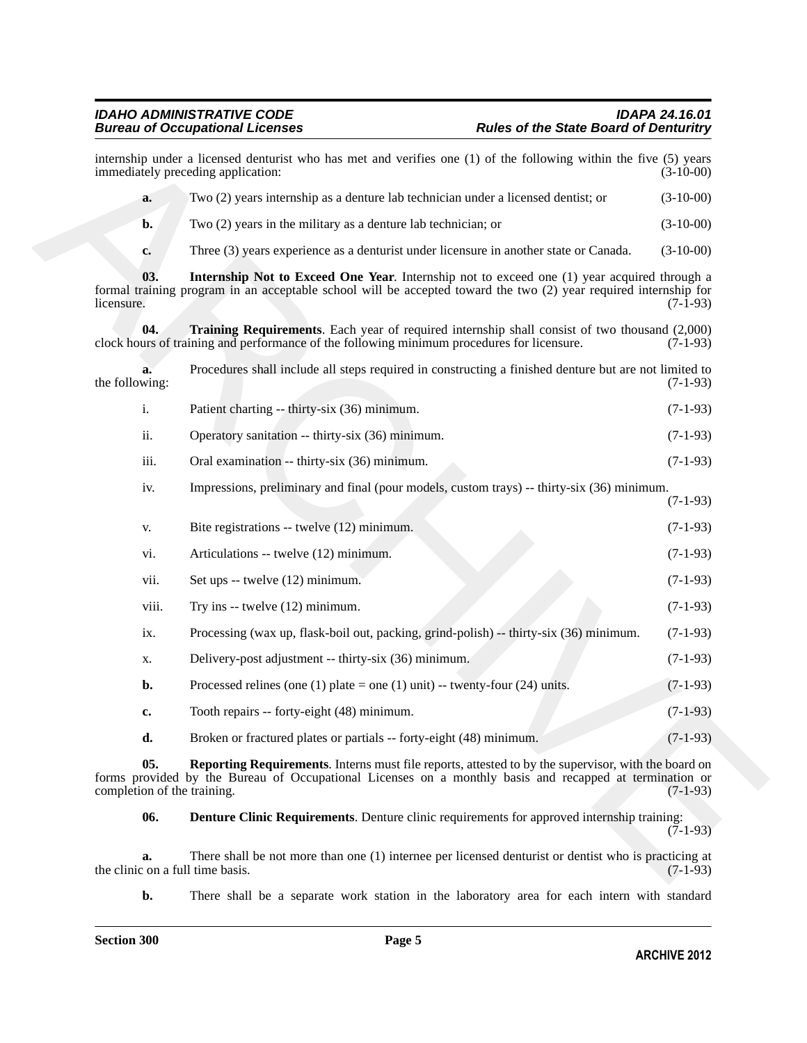### <span id="page-4-3"></span><span id="page-4-1"></span>*IDAHO ADMINISTRATIVE CODE IDAPA 24.16.01*

| immediately preceding application:     | internship under a licensed denturist who has met and verifies one (1) of the following within the five (5) years                                                                                                      | $(3-10-00)$ |
|----------------------------------------|------------------------------------------------------------------------------------------------------------------------------------------------------------------------------------------------------------------------|-------------|
| a.                                     | Two (2) years internship as a denture lab technician under a licensed dentist; or                                                                                                                                      | $(3-10-00)$ |
| b.                                     | Two $(2)$ years in the military as a denture lab technician; or                                                                                                                                                        | $(3-10-00)$ |
| c.                                     | Three (3) years experience as a denturist under licensure in another state or Canada.                                                                                                                                  | $(3-10-00)$ |
| 03.<br>licensure.                      | <b>Internship Not to Exceed One Year.</b> Internship not to exceed one (1) year acquired through a<br>formal training program in an acceptable school will be accepted toward the two (2) year required internship for | $(7-1-93)$  |
| 04.                                    | Training Requirements. Each year of required internship shall consist of two thousand (2,000)<br>clock hours of training and performance of the following minimum procedures for licensure.                            | $(7-1-93)$  |
| a.<br>the following:                   | Procedures shall include all steps required in constructing a finished denture but are not limited to                                                                                                                  | $(7-1-93)$  |
| i.                                     | Patient charting -- thirty-six (36) minimum.                                                                                                                                                                           | $(7-1-93)$  |
| ii.                                    | Operatory sanitation -- thirty-six (36) minimum.                                                                                                                                                                       | $(7-1-93)$  |
| iii.                                   | Oral examination -- thirty-six (36) minimum.                                                                                                                                                                           | $(7-1-93)$  |
| iv.                                    | Impressions, preliminary and final (pour models, custom trays) -- thirty-six (36) minimum.                                                                                                                             | $(7-1-93)$  |
| V.                                     | Bite registrations -- twelve (12) minimum.                                                                                                                                                                             | $(7-1-93)$  |
| vi.                                    | Articulations -- twelve (12) minimum.                                                                                                                                                                                  | $(7-1-93)$  |
| vii.                                   | Set ups -- twelve (12) minimum.                                                                                                                                                                                        | $(7-1-93)$  |
| viii.                                  | Try ins $-$ twelve $(12)$ minimum.                                                                                                                                                                                     | $(7-1-93)$  |
| ix.                                    | Processing (wax up, flask-boil out, packing, grind-polish) -- thirty-six (36) minimum.                                                                                                                                 | $(7-1-93)$  |
| X.                                     | Delivery-post adjustment -- thirty-six (36) minimum.                                                                                                                                                                   | $(7-1-93)$  |
| b.                                     | Processed relines (one (1) plate = one (1) unit) -- twenty-four (24) units.                                                                                                                                            | $(7-1-93)$  |
| c.                                     | Tooth repairs -- forty-eight (48) minimum.                                                                                                                                                                             | $(7-1-93)$  |
| d.                                     | Broken or fractured plates or partials -- forty-eight (48) minimum.                                                                                                                                                    | $(7-1-93)$  |
| 05.<br>completion of the training.     | Reporting Requirements. Interns must file reports, attested to by the supervisor, with the board on<br>forms provided by the Bureau of Occupational Licenses on a monthly basis and recapped at termination or         | $(7-1-93)$  |
| 06.                                    | <b>Denture Clinic Requirements.</b> Denture clinic requirements for approved internship training:                                                                                                                      | $(7-1-93)$  |
| a.<br>the clinic on a full time basis. | There shall be not more than one (1) internee per licensed denturist or dentist who is practicing at                                                                                                                   | $(7-1-93)$  |

<span id="page-4-2"></span><span id="page-4-0"></span>**b.** There shall be a separate work station in the laboratory area for each intern with standard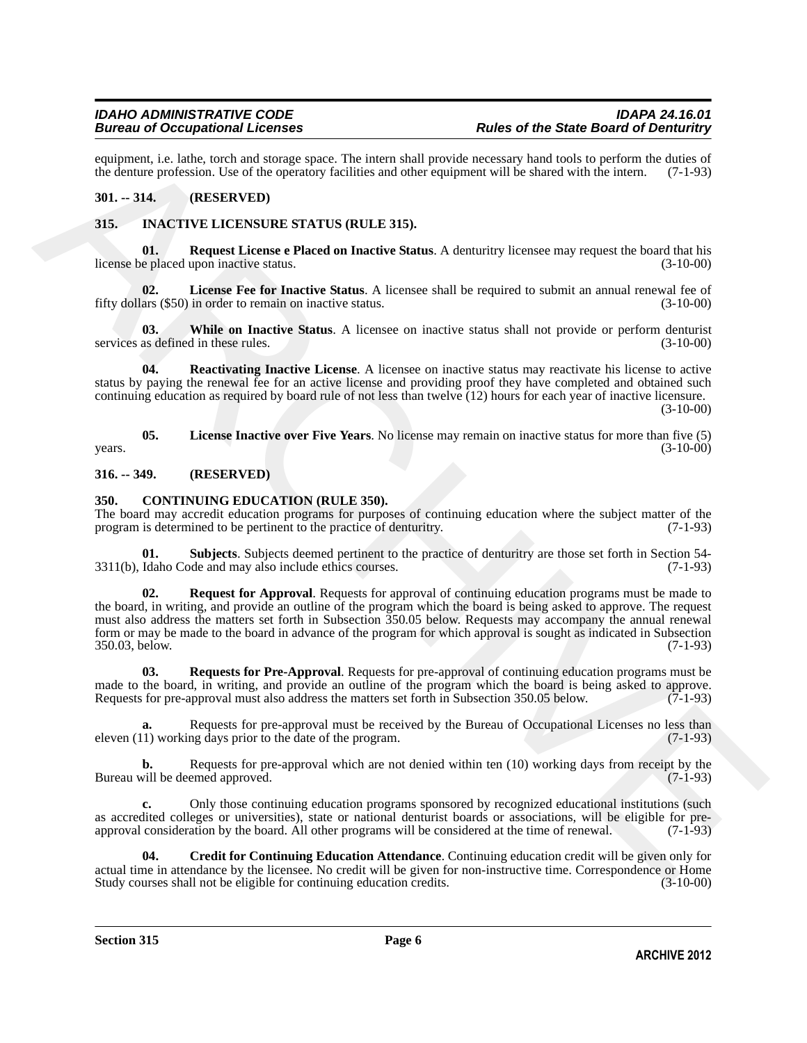equipment, i.e. lathe, torch and storage space. The intern shall provide necessary hand tools to perform the duties of the denture profession. Use of the operatory facilities and other equipment will be shared with the int the denture profession. Use of the operatory facilities and other equipment will be shared with the intern.

#### <span id="page-5-0"></span>**301. -- 314. (RESERVED)**

#### <span id="page-5-9"></span><span id="page-5-1"></span>**315. INACTIVE LICENSURE STATUS (RULE 315).**

<span id="page-5-13"></span>**01. Request License e Placed on Inactive Status**. A denturitry licensee may request the board that his license be placed upon inactive status.

<span id="page-5-10"></span>**02.** License Fee for Inactive Status. A licensee shall be required to submit an annual renewal fee of ars (\$50) in order to remain on inactive status. (3-10-00) fifty dollars (\$50) in order to remain on inactive status.

<span id="page-5-14"></span>**03. While on Inactive Status**. A licensee on inactive status shall not provide or perform denturist services as defined in these rules. (3-10-00)

<span id="page-5-12"></span>**04. Reactivating Inactive License**. A licensee on inactive status may reactivate his license to active status by paying the renewal fee for an active license and providing proof they have completed and obtained such continuing education as required by board rule of not less than twelve (12) hours for each year of inactive licensure.  $(3-10-00)$ 

<span id="page-5-11"></span>**05. License Inactive over Five Years**. No license may remain on inactive status for more than five (5)  $years.$  (3-10-00)

#### <span id="page-5-2"></span>**316. -- 349. (RESERVED)**

#### <span id="page-5-4"></span><span id="page-5-3"></span>**350. CONTINUING EDUCATION (RULE 350).**

The board may accredit education programs for purposes of continuing education where the subject matter of the program is determined to be pertinent to the practice of denturity. (7-1-93) program is determined to be pertinent to the practice of denturitry.

<span id="page-5-8"></span><span id="page-5-6"></span>**01.** Subjects. Subjects deemed pertinent to the practice of denturitry are those set forth in Section 54-<br>Idaho Code and may also include ethics courses. (7-1-93)  $3311(b)$ , Idaho Code and may also include ethics courses.

superiorms, i.e. lanks, produced a temperature and the mean also provide a necessary band reduced to the function of the secondary of the beam of the beam of the secondary of the beam of the secondary and the secondary an **02. Request for Approval**. Requests for approval of continuing education programs must be made to the board, in writing, and provide an outline of the program which the board is being asked to approve. The request must also address the matters set forth in Subsection 350.05 below. Requests may accompany the annual renewal form or may be made to the board in advance of the program for which approval is sought as indicated in Subsection 350.03, below. (7-1-93) 350.03, below.

<span id="page-5-7"></span>**03. Requests for Pre-Approval**. Requests for pre-approval of continuing education programs must be made to the board, in writing, and provide an outline of the program which the board is being asked to approve.<br>Requests for pre-approval must also address the matters set forth in Subsection 350.05 below. (7-1-93) Requests for pre-approval must also address the matters set forth in Subsection 350.05 below.

**a.** Requests for pre-approval must be received by the Bureau of Occupational Licenses no less than 1) working days prior to the date of the program. (7-1-93) eleven  $(11)$  working days prior to the date of the program.

**b.** Requests for pre-approval which are not denied within ten (10) working days from receipt by the Bureau will be deemed approved. (7-1-93)

**c.** Only those continuing education programs sponsored by recognized educational institutions (such as accredited colleges or universities), state or national denturist boards or associations, will be eligible for preapproval consideration by the board. All other programs will be considered at the time of renewal. (7-1-93)

<span id="page-5-5"></span>**04. Credit for Continuing Education Attendance**. Continuing education credit will be given only for actual time in attendance by the licensee. No credit will be given for non-instructive time. Correspondence or Home<br>Study courses shall not be eligible for continuing education credits. (3-10-00) Study courses shall not be eligible for continuing education credits.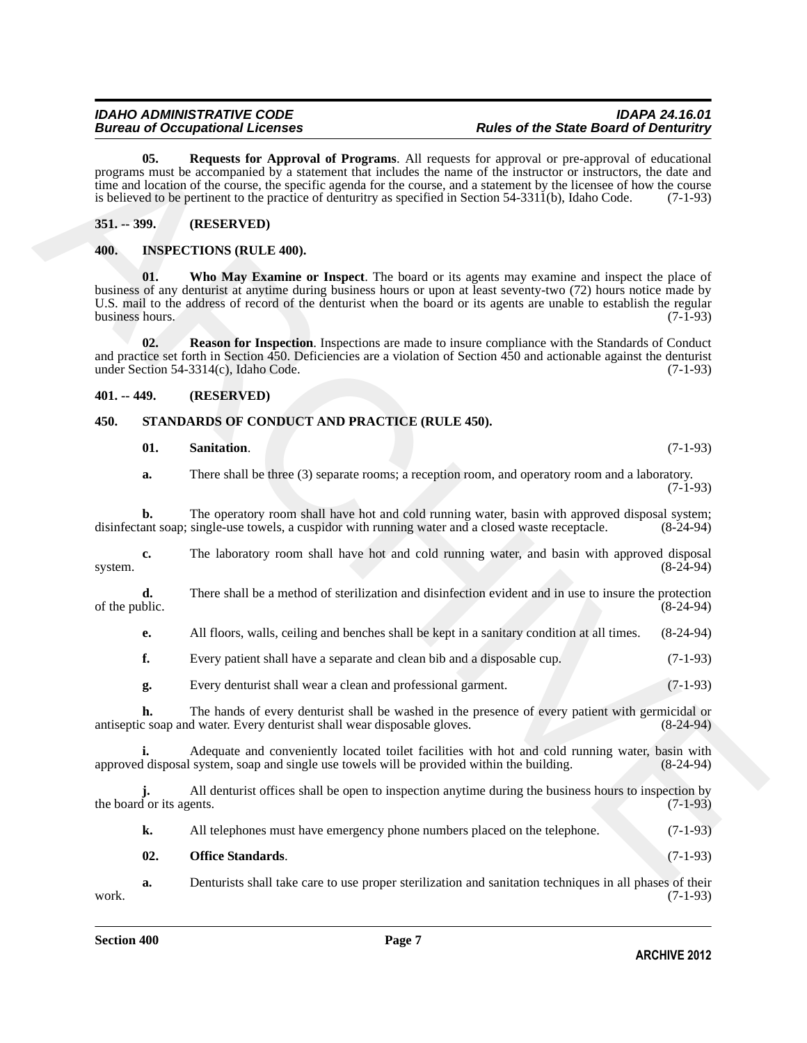<span id="page-6-4"></span>**05. Requests for Approval of Programs**. All requests for approval or pre-approval of educational programs must be accompanied by a statement that includes the name of the instructor or instructors, the date and time and location of the course, the specific agenda for the course, and a statement by the licensee of how the course is believed to be pertinent to the practice of denturitry as specified in Section  $54-3311(b)$ , Idaho Code. (7-1-93)

#### <span id="page-6-0"></span>**351. -- 399. (RESERVED)**

#### <span id="page-6-7"></span><span id="page-6-5"></span><span id="page-6-1"></span>**400. INSPECTIONS (RULE 400).**

65. Request for Approximation in Programma, the respect for approximation of the statement of detection of the statement of the statement of the statement of the statement of the statement of the statement of the statemen **01. Who May Examine or Inspect**. The board or its agents may examine and inspect the place of business of any denturist at anytime during business hours or upon at least seventy-two (72) hours notice made by U.S. mail to the address of record of the denturist when the board or its agents are unable to establish the regular business hours. (7-1-93) business hours.

<span id="page-6-6"></span>**02. Reason for Inspection**. Inspections are made to insure compliance with the Standards of Conduct and practice set forth in Section 450. Deficiencies are a violation of Section 450 and actionable against the denturist under Section 54-3314(c), Idaho Code. (7-1-93) under Section 54-3314(c), Idaho Code.

#### <span id="page-6-2"></span>**401. -- 449. (RESERVED)**

#### <span id="page-6-3"></span>**450. STANDARDS OF CONDUCT AND PRACTICE (RULE 450).**

#### <span id="page-6-10"></span><span id="page-6-8"></span>**01.** Sanitation. (7-1-93)

**a.** There shall be three (3) separate rooms; a reception room, and operatory room and a laboratory.  $(7-1-93)$ 

**b.** The operatory room shall have hot and cold running water, basin with approved disposal system; ant soap; single-use towels, a cuspidor with running water and a closed waste receptacle. (8-24-94) disinfectant soap; single-use towels, a cuspidor with running water and a closed waste receptacle.

**c.** The laboratory room shall have hot and cold running water, and basin with approved disposal (8-24-94) system. (8-24-94)

**d.** There shall be a method of sterilization and disinfection evident and in use to insure the protection blic. (8-24-94) of the public.

**e.** All floors, walls, ceiling and benches shall be kept in a sanitary condition at all times. (8-24-94)

- **f.** Every patient shall have a separate and clean bib and a disposable cup.  $(7-1-93)$
- **g.** Every denturist shall wear a clean and professional garment. (7-1-93)

**h.** The hands of every denturist shall be washed in the presence of every patient with germicidal or c soap and water. Every denturist shall wear disposable gloves. (8-24-94) antiseptic soap and water. Every denturist shall wear disposable gloves.

Adequate and conveniently located toilet facilities with hot and cold running water, basin with system, soap and single use towels will be provided within the building. (8-24-94) approved disposal system, soap and single use towels will be provided within the building.

All denturist offices shall be open to inspection anytime during the business hours to inspection by ents. the board or its agents.

<span id="page-6-9"></span>

| All telephones must have emergency phone numbers placed on the telephone. | $(7-1-93)$ |
|---------------------------------------------------------------------------|------------|
|                                                                           |            |

**a.** Denturists shall take care to use proper sterilization and sanitation techniques in all phases of their (7-1-93) work. (7-1-93)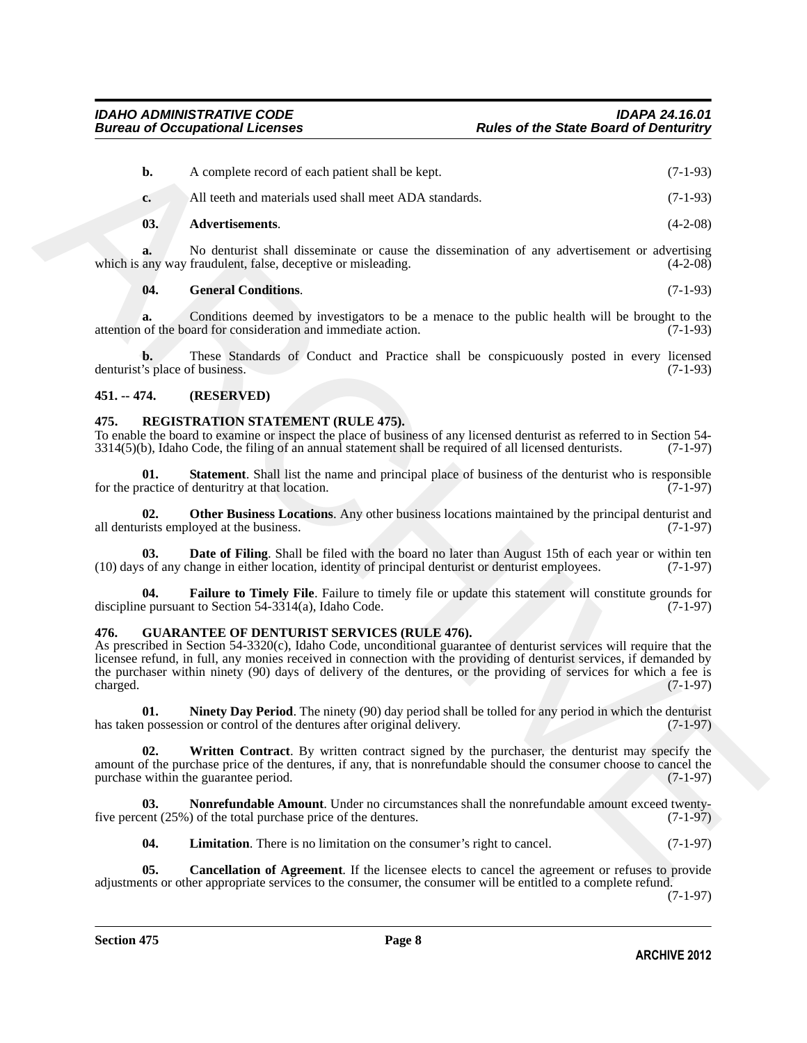| $b$ .                                | A complete record of each patient shall be kept.                                                                                                                                                                                                                                                                                                                                                                         | $(7-1-93)$ |
|--------------------------------------|--------------------------------------------------------------------------------------------------------------------------------------------------------------------------------------------------------------------------------------------------------------------------------------------------------------------------------------------------------------------------------------------------------------------------|------------|
| c.                                   | All teeth and materials used shall meet ADA standards.                                                                                                                                                                                                                                                                                                                                                                   | $(7-1-93)$ |
| 03.                                  | Advertisements.                                                                                                                                                                                                                                                                                                                                                                                                          | $(4-2-08)$ |
| a.                                   | No denturist shall disseminate or cause the dissemination of any advertisement or advertising<br>which is any way fraudulent, false, deceptive or misleading.                                                                                                                                                                                                                                                            | $(4-2-08)$ |
| 04.                                  | <b>General Conditions.</b>                                                                                                                                                                                                                                                                                                                                                                                               | $(7-1-93)$ |
| a.                                   | Conditions deemed by investigators to be a menace to the public health will be brought to the<br>attention of the board for consideration and immediate action.                                                                                                                                                                                                                                                          | $(7-1-93)$ |
| b.<br>denturist's place of business. | These Standards of Conduct and Practice shall be conspicuously posted in every licensed                                                                                                                                                                                                                                                                                                                                  | $(7-1-93)$ |
| $451. - 474.$                        | (RESERVED)                                                                                                                                                                                                                                                                                                                                                                                                               |            |
| 475.                                 | <b>REGISTRATION STATEMENT (RULE 475).</b><br>To enable the board to examine or inspect the place of business of any licensed denturist as referred to in Section 54-<br>$3314(5)$ (b), Idaho Code, the filing of an annual statement shall be required of all licensed denturists.                                                                                                                                       | $(7-1-97)$ |
| 01.                                  | <b>Statement</b> . Shall list the name and principal place of business of the denturist who is responsible<br>for the practice of denturitry at that location.                                                                                                                                                                                                                                                           | $(7-1-97)$ |
| 02.                                  | Other Business Locations. Any other business locations maintained by the principal denturist and<br>all denturists employed at the business.                                                                                                                                                                                                                                                                             | $(7-1-97)$ |
| 03.                                  | Date of Filing. Shall be filed with the board no later than August 15th of each year or within ten<br>(10) days of any change in either location, identity of principal denturist or denturist employees.                                                                                                                                                                                                                | $(7-1-97)$ |
| 04.                                  | Failure to Timely File. Failure to timely file or update this statement will constitute grounds for<br>discipline pursuant to Section $54-3314(a)$ , Idaho Code.                                                                                                                                                                                                                                                         | $(7-1-97)$ |
| 476.<br>charged.                     | <b>GUARANTEE OF DENTURIST SERVICES (RULE 476).</b><br>As prescribed in Section 54-3320(c), Idaho Code, unconditional guarantee of denturist services will require that the<br>licensee refund, in full, any monies received in connection with the providing of denturist services, if demanded by<br>the purchaser within ninety (90) days of delivery of the dentures, or the providing of services for which a fee is | $(7-1-97)$ |
| 01.                                  | <b>Ninety Day Period.</b> The ninety (90) day period shall be tolled for any period in which the denturist<br>has taken possession or control of the dentures after original delivery.                                                                                                                                                                                                                                   | $(7-1-97)$ |
| 02.                                  | Written Contract. By written contract signed by the purchaser, the denturist may specify the<br>amount of the purchase price of the dentures, if any, that is nonrefundable should the consumer choose to cancel the<br>purchase within the guarantee period.                                                                                                                                                            | $(7-1-97)$ |
| 03.                                  | Nonrefundable Amount. Under no circumstances shall the nonrefundable amount exceed twenty-<br>five percent $(25\%)$ of the total purchase price of the dentures.                                                                                                                                                                                                                                                         | $(7-1-97)$ |
| 04.                                  | <b>Limitation.</b> There is no limitation on the consumer's right to cancel.                                                                                                                                                                                                                                                                                                                                             | $(7-1-97)$ |
| 05.                                  | Cancellation of Agreement. If the licensee elects to cancel the agreement or refuses to provide<br>adjustments or other appropriate services to the consumer the consumer will be entitled to a complete refund                                                                                                                                                                                                          |            |

#### <span id="page-7-15"></span><span id="page-7-14"></span>**04. General Conditions**. (7-1-93)

#### <span id="page-7-0"></span>**451. -- 474. (RESERVED)**

#### <span id="page-7-13"></span><span id="page-7-12"></span><span id="page-7-9"></span><span id="page-7-1"></span>**475. REGISTRATION STATEMENT (RULE 475).**

#### <span id="page-7-11"></span><span id="page-7-10"></span><span id="page-7-8"></span><span id="page-7-6"></span><span id="page-7-3"></span><span id="page-7-2"></span>**476. GUARANTEE OF DENTURIST SERVICES (RULE 476).**

<span id="page-7-7"></span><span id="page-7-5"></span><span id="page-7-4"></span>**05. Cancellation of Agreement**. If the licensee elects to cancel the agreement or refuses to provide adjustments or other appropriate services to the consumer, the consumer will be entitled to a complete refund.

(7-1-97)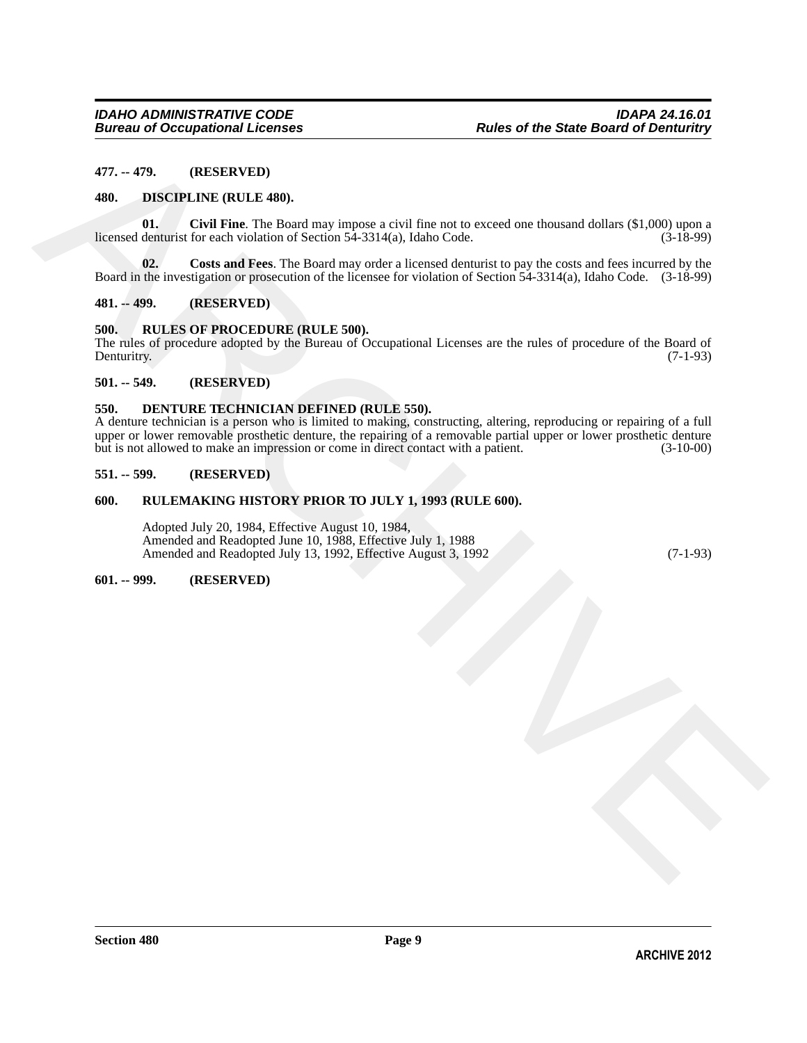#### <span id="page-8-0"></span>**477. -- 479. (RESERVED)**

#### <span id="page-8-10"></span><span id="page-8-1"></span>**480. DISCIPLINE (RULE 480).**

<span id="page-8-11"></span>**01.** Civil Fine. The Board may impose a civil fine not to exceed one thousand dollars (\$1,000) upon a denturist for each violation of Section 54-3314(a). Idaho Code. (3-18-99) licensed denturist for each violation of Section  $5\overline{4}$ -3314(a), Idaho Code.

<span id="page-8-12"></span>**02. Costs and Fees**. The Board may order a licensed denturist to pay the costs and fees incurred by the Board in the investigation or prosecution of the licensee for violation of Section 54-3314(a), Idaho Code. (3-18-99)

#### <span id="page-8-2"></span>**481. -- 499. (RESERVED)**

#### <span id="page-8-13"></span><span id="page-8-3"></span>**500. RULES OF PROCEDURE (RULE 500).**

The rules of procedure adopted by the Bureau of Occupational Licenses are the rules of procedure of the Board of Denturity. (7-1-93) Denturitry. (7-1-93)

#### <span id="page-8-4"></span>**501. -- 549. (RESERVED)**

#### <span id="page-8-9"></span><span id="page-8-5"></span>**550. DENTURE TECHNICIAN DEFINED (RULE 550).**

477. ... 479. (RESERVED)<br> **480.** DISCIPLINE (RULE 489).<br>
IENSIE (NULE 369. Send and System inproves a civil flux and to case of a constrain delian (S1.000) meson<br>
IENSIE (Archive and Fermion of System any other attention A denture technician is a person who is limited to making, constructing, altering, reproducing or repairing of a full upper or lower removable prosthetic denture, the repairing of a removable partial upper or lower prosthetic denture<br>but is not allowed to make an impression or come in direct contact with a patient. (3-10-00) but is not allowed to make an impression or come in direct contact with a patient.

#### <span id="page-8-6"></span>**551. -- 599. (RESERVED)**

#### <span id="page-8-7"></span>**600. RULEMAKING HISTORY PRIOR TO JULY 1, 1993 (RULE 600).**

Adopted July 20, 1984, Effective August 10, 1984, Amended and Readopted June 10, 1988, Effective July 1, 1988 Amended and Readopted July 13, 1992, Effective August 3, 1992 (7-1-93)

#### <span id="page-8-8"></span>**601. -- 999. (RESERVED)**